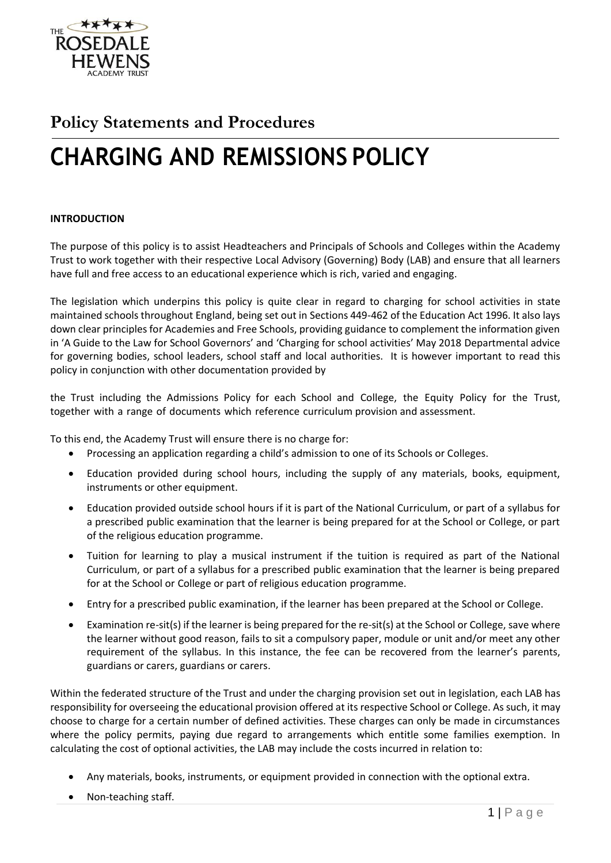

# **Policy Statements and Procedures**

# **CHARGING AND REMISSIONS POLICY**

## **INTRODUCTION**

The purpose of this policy is to assist Headteachers and Principals of Schools and Colleges within the Academy Trust to work together with their respective Local Advisory (Governing) Body (LAB) and ensure that all learners have full and free access to an educational experience which is rich, varied and engaging.

The legislation which underpins this policy is quite clear in regard to charging for school activities in state maintained schools throughout England, being set out in Sections 449-462 of the Education Act 1996. It also lays down clear principles for Academies and Free Schools, providing guidance to complement the information given in 'A Guide to the Law for School Governors' and 'Charging for school activities' May 2018 Departmental advice for governing bodies, school leaders, school staff and local authorities. It is however important to read this policy in conjunction with other documentation provided by

the Trust including the Admissions Policy for each School and College, the Equity Policy for the Trust, together with a range of documents which reference curriculum provision and assessment.

To this end, the Academy Trust will ensure there is no charge for:

- Processing an application regarding a child's admission to one of its Schools or Colleges.
- Education provided during school hours, including the supply of any materials, books, equipment, instruments or other equipment.
- Education provided outside school hours if it is part of the National Curriculum, or part of a syllabus for a prescribed public examination that the learner is being prepared for at the School or College, or part of the religious education programme.
- Tuition for learning to play a musical instrument if the tuition is required as part of the National Curriculum, or part of a syllabus for a prescribed public examination that the learner is being prepared for at the School or College or part of religious education programme.
- Entry for a prescribed public examination, if the learner has been prepared at the School or College.
- Examination re-sit(s) if the learner is being prepared for the re-sit(s) at the School or College, save where the learner without good reason, fails to sit a compulsory paper, module or unit and/or meet any other requirement of the syllabus. In this instance, the fee can be recovered from the learner's parents, guardians or carers, guardians or carers.

Within the federated structure of the Trust and under the charging provision set out in legislation, each LAB has responsibility for overseeing the educational provision offered at its respective School or College. As such, it may choose to charge for a certain number of defined activities. These charges can only be made in circumstances where the policy permits, paying due regard to arrangements which entitle some families exemption. In calculating the cost of optional activities, the LAB may include the costs incurred in relation to:

- Any materials, books, instruments, or equipment provided in connection with the optional extra.
- Non-teaching staff.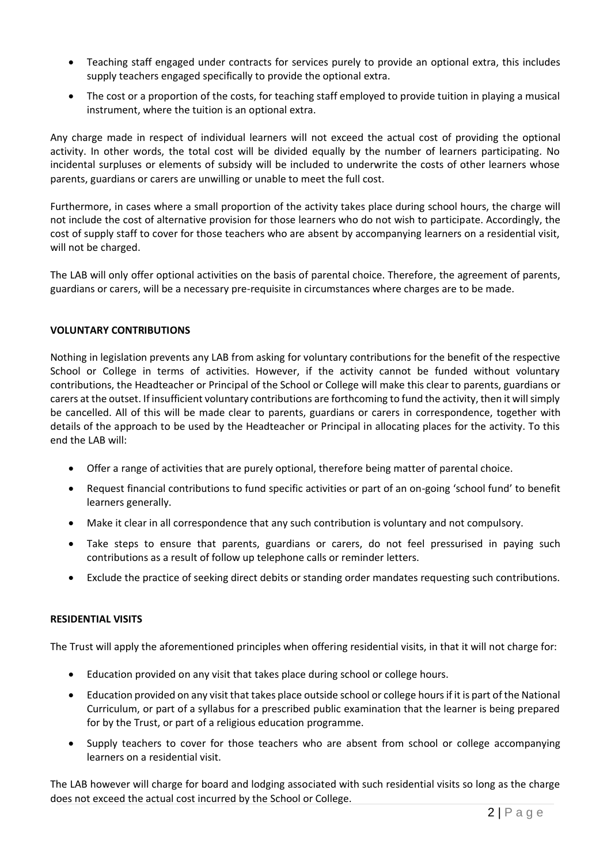- Teaching staff engaged under contracts for services purely to provide an optional extra, this includes supply teachers engaged specifically to provide the optional extra.
- The cost or a proportion of the costs, for teaching staff employed to provide tuition in playing a musical instrument, where the tuition is an optional extra.

Any charge made in respect of individual learners will not exceed the actual cost of providing the optional activity. In other words, the total cost will be divided equally by the number of learners participating. No incidental surpluses or elements of subsidy will be included to underwrite the costs of other learners whose parents, guardians or carers are unwilling or unable to meet the full cost.

Furthermore, in cases where a small proportion of the activity takes place during school hours, the charge will not include the cost of alternative provision for those learners who do not wish to participate. Accordingly, the cost of supply staff to cover for those teachers who are absent by accompanying learners on a residential visit, will not be charged.

The LAB will only offer optional activities on the basis of parental choice. Therefore, the agreement of parents, guardians or carers, will be a necessary pre-requisite in circumstances where charges are to be made.

## **VOLUNTARY CONTRIBUTIONS**

Nothing in legislation prevents any LAB from asking for voluntary contributions for the benefit of the respective School or College in terms of activities. However, if the activity cannot be funded without voluntary contributions, the Headteacher or Principal of the School or College will make this clear to parents, guardians or carers at the outset. If insufficient voluntary contributions are forthcoming to fund the activity, then it will simply be cancelled. All of this will be made clear to parents, guardians or carers in correspondence, together with details of the approach to be used by the Headteacher or Principal in allocating places for the activity. To this end the LAB will:

- Offer a range of activities that are purely optional, therefore being matter of parental choice.
- Request financial contributions to fund specific activities or part of an on-going 'school fund' to benefit learners generally.
- Make it clear in all correspondence that any such contribution is voluntary and not compulsory.
- Take steps to ensure that parents, guardians or carers, do not feel pressurised in paying such contributions as a result of follow up telephone calls or reminder letters.
- Exclude the practice of seeking direct debits or standing order mandates requesting such contributions.

# **RESIDENTIAL VISITS**

The Trust will apply the aforementioned principles when offering residential visits, in that it will not charge for:

- Education provided on any visit that takes place during school or college hours.
- Education provided on any visit that takes place outside school or college hours if it is part of the National Curriculum, or part of a syllabus for a prescribed public examination that the learner is being prepared for by the Trust, or part of a religious education programme.
- Supply teachers to cover for those teachers who are absent from school or college accompanying learners on a residential visit.

The LAB however will charge for board and lodging associated with such residential visits so long as the charge does not exceed the actual cost incurred by the School or College.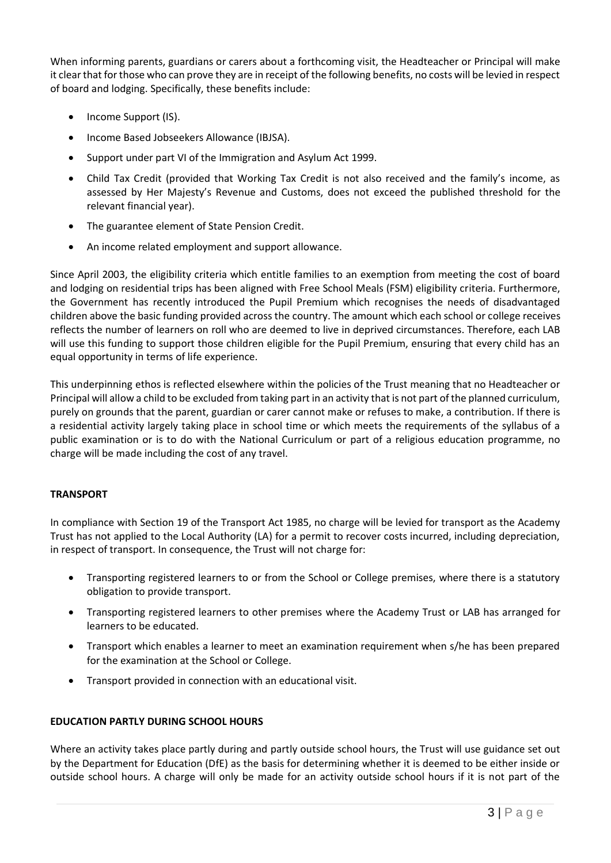When informing parents, guardians or carers about a forthcoming visit, the Headteacher or Principal will make it clear that for those who can prove they are in receipt of the following benefits, no costs will be levied in respect of board and lodging. Specifically, these benefits include:

- Income Support (IS).
- Income Based Jobseekers Allowance (IBJSA).
- Support under part VI of the Immigration and Asylum Act 1999.
- Child Tax Credit (provided that Working Tax Credit is not also received and the family's income, as assessed by Her Majesty's Revenue and Customs, does not exceed the published threshold for the relevant financial year).
- The guarantee element of State Pension Credit.
- An income related employment and support allowance.

Since April 2003, the eligibility criteria which entitle families to an exemption from meeting the cost of board and lodging on residential trips has been aligned with Free School Meals (FSM) eligibility criteria. Furthermore, the Government has recently introduced the Pupil Premium which recognises the needs of disadvantaged children above the basic funding provided across the country. The amount which each school or college receives reflects the number of learners on roll who are deemed to live in deprived circumstances. Therefore, each LAB will use this funding to support those children eligible for the Pupil Premium, ensuring that every child has an equal opportunity in terms of life experience.

This underpinning ethos is reflected elsewhere within the policies of the Trust meaning that no Headteacher or Principal will allow a child to be excluded from taking part in an activity that is not part of the planned curriculum, purely on grounds that the parent, guardian or carer cannot make or refuses to make, a contribution. If there is a residential activity largely taking place in school time or which meets the requirements of the syllabus of a public examination or is to do with the National Curriculum or part of a religious education programme, no charge will be made including the cost of any travel.

# **TRANSPORT**

In compliance with Section 19 of the Transport Act 1985, no charge will be levied for transport as the Academy Trust has not applied to the Local Authority (LA) for a permit to recover costs incurred, including depreciation, in respect of transport. In consequence, the Trust will not charge for:

- Transporting registered learners to or from the School or College premises, where there is a statutory obligation to provide transport.
- Transporting registered learners to other premises where the Academy Trust or LAB has arranged for learners to be educated.
- Transport which enables a learner to meet an examination requirement when s/he has been prepared for the examination at the School or College.
- Transport provided in connection with an educational visit.

# **EDUCATION PARTLY DURING SCHOOL HOURS**

Where an activity takes place partly during and partly outside school hours, the Trust will use guidance set out by the Department for Education (DfE) as the basis for determining whether it is deemed to be either inside or outside school hours. A charge will only be made for an activity outside school hours if it is not part of the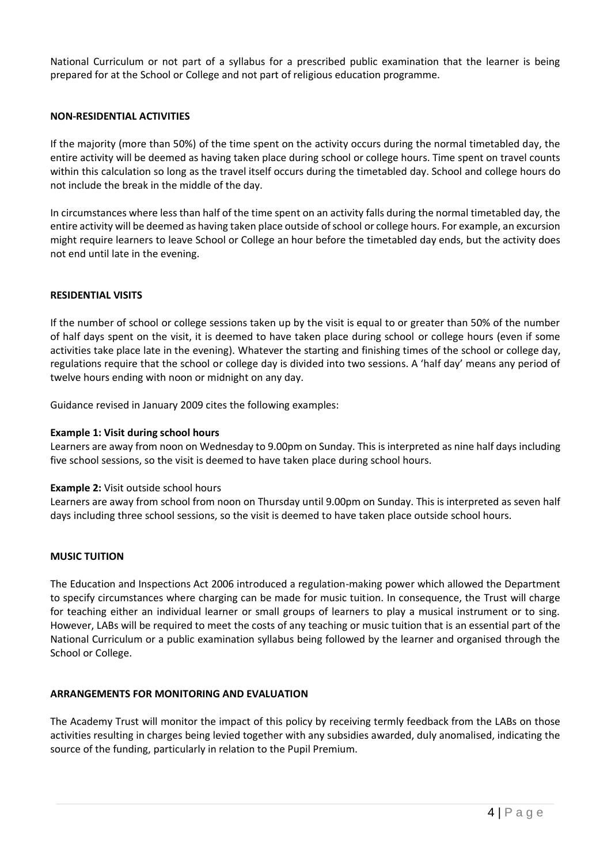National Curriculum or not part of a syllabus for a prescribed public examination that the learner is being prepared for at the School or College and not part of religious education programme.

## **NON-RESIDENTIAL ACTIVITIES**

If the majority (more than 50%) of the time spent on the activity occurs during the normal timetabled day, the entire activity will be deemed as having taken place during school or college hours. Time spent on travel counts within this calculation so long as the travel itself occurs during the timetabled day. School and college hours do not include the break in the middle of the day.

In circumstances where less than half of the time spent on an activity falls during the normal timetabled day, the entire activity will be deemed as having taken place outside of school or college hours. For example, an excursion might require learners to leave School or College an hour before the timetabled day ends, but the activity does not end until late in the evening.

#### **RESIDENTIAL VISITS**

If the number of school or college sessions taken up by the visit is equal to or greater than 50% of the number of half days spent on the visit, it is deemed to have taken place during school or college hours (even if some activities take place late in the evening). Whatever the starting and finishing times of the school or college day, regulations require that the school or college day is divided into two sessions. A 'half day' means any period of twelve hours ending with noon or midnight on any day.

Guidance revised in January 2009 cites the following examples:

#### **Example 1: Visit during school hours**

Learners are away from noon on Wednesday to 9.00pm on Sunday. This is interpreted as nine half days including five school sessions, so the visit is deemed to have taken place during school hours.

#### **Example 2:** Visit outside school hours

Learners are away from school from noon on Thursday until 9.00pm on Sunday. This is interpreted as seven half days including three school sessions, so the visit is deemed to have taken place outside school hours.

#### **MUSIC TUITION**

The Education and Inspections Act 2006 introduced a regulation-making power which allowed the Department to specify circumstances where charging can be made for music tuition. In consequence, the Trust will charge for teaching either an individual learner or small groups of learners to play a musical instrument or to sing. However, LABs will be required to meet the costs of any teaching or music tuition that is an essential part of the National Curriculum or a public examination syllabus being followed by the learner and organised through the School or College.

#### **ARRANGEMENTS FOR MONITORING AND EVALUATION**

The Academy Trust will monitor the impact of this policy by receiving termly feedback from the LABs on those activities resulting in charges being levied together with any subsidies awarded, duly anomalised, indicating the source of the funding, particularly in relation to the Pupil Premium.